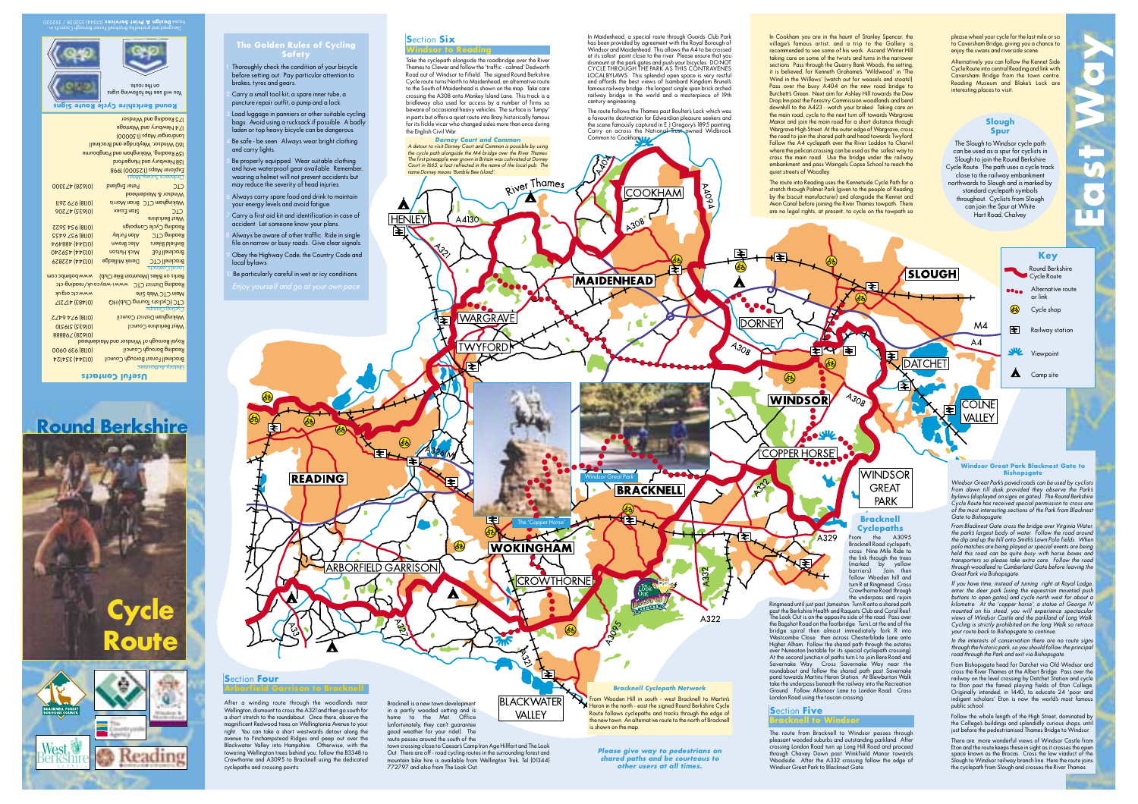







| (0118) 954 5622        | Reading Cycle Campaign                           |                      |
|------------------------|--------------------------------------------------|----------------------|
| <b>SSP9 ZS6 (8110)</b> | Alan Furley                                      | Reading CTC          |
| <b>V6V88V (VVEIO)</b>  | Alec Brown                                       | Binfield Bikers      |
| 101344 459240          | <b>Mick Hutson</b>                               | <b>Bracknell FoE</b> |
| (01344) 422829         | <b>Derek Milledge</b>                            | <b>Bracknell CTC</b> |
|                        |                                                  | Local Contacts:      |
| www.bobmbc.com         | Berks on Bikes (Mountain Bike Club)              |                      |
|                        | Reading District CTC www.i-way.co.uk/reading-ctc |                      |
| www.ctc.org.uk         | Main CTC Web Site                                |                      |
| (ΟΙΑΒ3) 417217         | CTC (Cyclists Touring Club) HQ                   |                      |
|                        |                                                  | sdroug Bulloy        |
| <b>SZV9 VZ6 (8110)</b> | Wokingham District Council                       |                      |
| (01932) 216210         | West Berkshire Council                           |                      |
| 88886∠ (87910)         |                                                  |                      |
|                        | Royal Borough of Windsor and Maidenhead          |                      |
| (0118) 636 0600        | Reading Borough Council                          |                      |
| <b>NSE (4450)</b>      | Bracknell Forest Borough Council                 |                      |

| Drdnance Survey Maps                  |                    |                           |  |
|---------------------------------------|--------------------|---------------------------|--|
| CIC                                   | Peter England      | 101628) 473300            |  |
| bpednebipM & 102bniW                  |                    |                           |  |
| Wokingham CTC Brian Morris            |                    | II97 6 4 (8110)           |  |
| CIC                                   | Stan Essex         | 101935) 47206             |  |
| <b>onideshed teems</b>                |                    |                           |  |
| <b>Reading Cycle Campaign</b>         |                    | (0118) 954 5622           |  |
| Seading CTC                           | Alan Furley        | <b>SSA6 (8110)</b>        |  |
| anfield Bikers                        | Alec Brown         | <b>V6V88V (VVEIO)</b>     |  |
| <b>Bracknell FoE</b>                  | <b>Mick Hutson</b> | (01344) 459240            |  |
| <b>Gracknell CTC</b>                  | Derek Milledge     | (01344) 422829            |  |
| Local Contacts:                       |                    |                           |  |
| (GOIN ANIO ULDULOGAL) CANIO UO SY IAC |                    | <b>ILION DOUGOOD ALAL</b> |  |

# 175 Reading and Windsor

Explorer Maps (1:25000) 1998 protegnut bn yn Hungerford 159 Reading, Wokingham and Pangbourne 160 Windsor, Weybridge and Bracknell Landranger Maps (1:50000) 174 Newbury and Wantage

**Round Berkshire Cycle Route Signs** You will see the following signs on the route. Designed and printed by Bracknell Forest Borough Council's in - (01344) 352028 / 352020 **Design & Print Services** house

# **The Golden Rules of Cycling**

Thoroughly check the condition of your bicycle before setting out. Pay particular attention to 2.Carry a small tool kit, a spare inner tube, a

puncture repair outfit, a pump and a lock. 3. Load luggage in panniers or other suitable cycling bags. Avoid using a rucksack if possible. A badly laden or top heavy bicycle can be dangerous. 4.Be safe - be seen. Always wear bright clothing

5. Be properly equipped. Wear suitable clothing and have waterproof gear available. Remember, wearing a helmet will not prevent accidents but may reduce the severity of head injuries. 6. Always carry spare food and drink to maintain your energy levels and avoid fatigue. 7.Carry a first aid kit and identification in case of accident. Let someone know your plans. Always be aware of other traffic. Ride in single file on narrow or busy roads. Give clear signals 9. Obey the Highway Code, the Country Code and

10.Be particularly careful in wet or icy conditions.

**READING** 

After a winding route through the woodlands near Wellington, dismount to cross the A321 and then go south for a short stretch to the roundabout. Once there, observe the magnificent Redwood trees on Wellingtonia Avenue to your right. You can take a short westwards detour along the avenue to Finchampstead Ridges and peep out over the Blackwater Valley into Hampshire. Otherwise, with the towering Wellington trees behind you, follow the B3348 to Crowthorne and A3095 to Bracknell using the dedicated Bracknell is a new town development in a partly wooded setting and is home to the Met. Office (unfortunately, they can't guarantee good weather for your ride!). The route passes around the south of the

town crossing close to Caesar's Camp Iron Age Hillfort and The Look Out. There are off - road cycling routes in the surrounding forest and mountain bike hire is available from Wellington Trek, Tel (01344) 772797 and also from The Look Out.

cyclepaths and crossing points.

**S**ection **Four**

and carry lights.

local bylaws.

brakes, tyres and gears.

## **S**ection **Six**

**HFNIFY** 

⇒

**ARBORFIELD GARRISON** 

া≅া

Take the cyclepath alongside the roadbridge over the River Thames to Clewer and follow the 'traffic - calmed' Dedworth Road out of Windsor to Fifield. The signed Round Berkshire Cycle route turns North to Maidenhead, an alternative route to the South of Maidenhead is shown on the map. Take care crossing the A308 onto Monkey Island Lane. This track is a bridleway also used for access by a number of firms so beware of occasional heavy vehicles. The surface is 'lumpy' in parts but offers a quiet route into Bray, historically famous for its fickle vicar who changed sides more than once during the English Civil War. **Dorney Court and Con** 

A detour to visit Dorney Court and Common is possible by using the cycle path alongside the M4 bridge over the River Thames. The first pineapple ever grown in Britain was cultivated at Dorney Court in 1665, a fact reflected in the name of the local pub. The

name Dorney means 'Bumble Bee Island'.

∖∓

 $\Delta$ 

भा

 $\circledast$ 

A4130

**WARGRAVE** 

**TWYFORD** 

m

i≆

dismount at the park gates and push your bicycles. DO NOT CYCLE THROUGH THE PARKAS THIS CONTRAVENES century engineering.

River Thames

7

The 'Copper Horse'

**CROWTHORNE** 

闰

**BLACKWATER** VALLEY

**WOKINGHAM** 

LOCAL BYLAWS. This splendid open space is very restful and affords the best views of Isambard Kingdom Brunel's famous railway bridge - the longest single span brick arched railway bridge in the world and a masterpiece of 19th The route follows the Thames past Boulter's Lock which was

 $\mathcal{L}$ 

**BRACKNELL** 

IΣ.

×

**Bracknell Cyclepath Network** From Wooden Hill in south - west Bracknell to Martin's Heron in the north - east the signed Round Berkshire Cycle Route follows cyclepaths and tracks through the edge of the new town. An alternative route to the north of Bracknel

**Please give way to pedestrians on shared paths and be courteous to other users at all times.**

Windsor Great Park

is shown on the map.

a favourite destination for Edwardian pleasure seekers and the scene famously captured in E J Gregory's 1895 painting. Carry on across the National Trust owned Widbr Common to Cookham.

**COOKHAM** 

A308

**MAIDENHEAD** 

In Maidenhead, a special route through Guards Club Park has been provided by agreement with the Royal Borough of Windsor and Maidenhead. This allows the A4 to be crossed at its safest point close to the river. Please ensure that you

FF.

**AO94** 

₹

**A308** 

ਣਿ

A322

ਜ₹

**DORNEY** 

In Cookham you are in the haunt of Stanley Spencer, the village's famous artist, and a trip to the Gallery is recommended to see some of his work. Ascend Winter Hill taking care on some of the twists and turns in the narrower sections. Pass through the Quarry Bank Woods, the setting, it is believed, for Kenneth Grahame's 'Wildwood' in 'The Wind in the Willows' (watch out for weasels and stoats!). Pass over the busy A404 on the new road bridge to Burchett's Green. Next aim for Ashley Hill towards the Dew Drop Inn past the Forestry Commission woodlands and bend downhill to the A423 - watch your brakes! Taking care on the main road, cycle to the next turn off towards Wargrave Manor and join the main road for a short distance through Wargrave High Street. At the outer edge of Wargrave, cross the road to join the shared path and head towards Twyford. Follow the A4 cyclepath over the River Loddon to Charvil where the pelican crossing can be used as the safest way to cross the main road. Use the bridge under the railway embankment and pass Waingels Copse School to reach the quiet streets of Woodley

The route into Reading uses the Kennetside Cycle Path for a stretch through Palmer Park (given to the people of Reading by the biscuit manufacturer) and alongside the Kennet and Avon Canal before joining the River Thames towpath. There are no legal rights, at present, to cycle on the towpath so

**EXAMPLE** 

E

<sup>p</sup>lease wheel your cycle for the last mile or so to Caversham Bridge, giving you a chance to enjoy the swans and riverside scene.

Alternatively you can follow the Kennet Side Cycle Route into central Reading and link with Caversham Bridge from the town centre. Reading Museum and Blake's Lock are interesting places to visit.

## **Slough Spur**

The Slough to Windsor cycle path can be used as a spur for cyclists in Slough to join the Round Berkshire Cycle Route. The path uses a cycle track close to the railway embankment northwards to Slough and is marked by standard cyclepath symbols throughout. Cyclists from Slough can join the Spur at White Hart Road, Chalvey

E **DATCHET** க  $A_{308}$ **WINDSOR COLNE** 囯 VALLEY **COPPER HORSE WINDSOR GRFAT** PARK **Bracknell Cyclepaths**  $\sqrt{320}$ From the A3095

Ringmead until just past Jameston. Turn R onto a shared path past the Berkshire Health and Raquets Club and Coral Reef. The Look Out is on the opposite side of the road. Pass over the Bagshot Road on the footbridge. Turn L at the end of the bridge spiral then almost immediately fork R into Westcombe Close then across Chesterblade Lane onto Higher Alham. Follow the shared path through the estates over Nuneaton (notable for its special cyclepath crossing). At the second junction of paths turn L to join Bere Road and Savernake Way. Cross Savernake Way near the roundabout and follow the shared path past Savernake pond towards Martins Heron Station. At Blewburton Walk take the underpass beneath the railway into the Recreation Ground. Follow Allsmoor Lane to London Road. Cross London Road using the toucan crossing.

### **S**ection **Five**

E

**Bracknell to Windsor**

The route from Bracknell to Windsor passes through <sup>p</sup>leasant wooded suburbs and outstanding parkland. After crossing London Road turn up Long Hill Road and proceed through Chavey Down past Winkfield Manor towards Woodside. After the A332 crossing follow the edge of Windsor Great Park to Blacknest Gate.

from dawn till dusk provided they observe the Park's<br>bylaws(displayed on signs on gates). The Round Berkshire<br>Cycle Route has received special permission to cross one<br>of the most interesting sections of the Park from Black

From Blacknest Gate cross the bridge over Virginia Water, the park's largest body of water. Follow the road around the dip and up the hill onto Smith's Lawn Polo fields. When polo matches are being played or special events are being held this road can be quite busy with horse boxes and transporters so please take extra care. Follow the road through woodland to Cumberland Gate before leaving the Great Park via Bishopsgate.

If you have time, instead of turning right at Royal Lodge, enter the deer park (using the equestrian mounted push buttons to open gates) and cycle north west for about a kilometre. At the 'copper horse', a statue of George IV mounted on his steed, you will experience spectacular views of Windsor Castle and the parkland of Long Walk. Cycling is strictly prohibited on the long Walk so retrace your route back to Bishopsgate to contin

In the interests of conservation there are no route signs through the historic park, so you should follow the principal road through the Park and exit via Bishopsgate.

From Bishopsgate head for Datchet via Old Windsor and cross the River Thames at the Albert Bridge. Pass over the railway on the level crossing by Datchet Station and cycle to Eton past the famed playing fields of Eton College. Originally intended, in 1440, to educate 24 'poor and indigent scholars' Eton is now the world's most famous public school.

Follow the whole length of the High Street, dominated by the College's buildings and splendidly curious shops, until just before the pedestrianised Thames Bridge to Windsor.

There are more wonderful views of Windsor Castle from Eton and the route keeps these in sight as it crosses the open space known as the Brocas. Cross the low viaduct of the Slough to Windsor railway branch line. Here the route joins the cyclepath from Slough and crosses the River Thames.



**SLOUGH** 

**Bishopsgate**

**Windsor Great Park Blacknest Gate to**

Windsor Great Park's paved roads can be used by cyclists

 $\triangle$  Camp site

**Key**

Round Berkshire Cycle Route

**Alternative route** or link Cycle shop

Railway station

Viewpoint

க

 $MA$ 

 $AA$ 

**East Way**